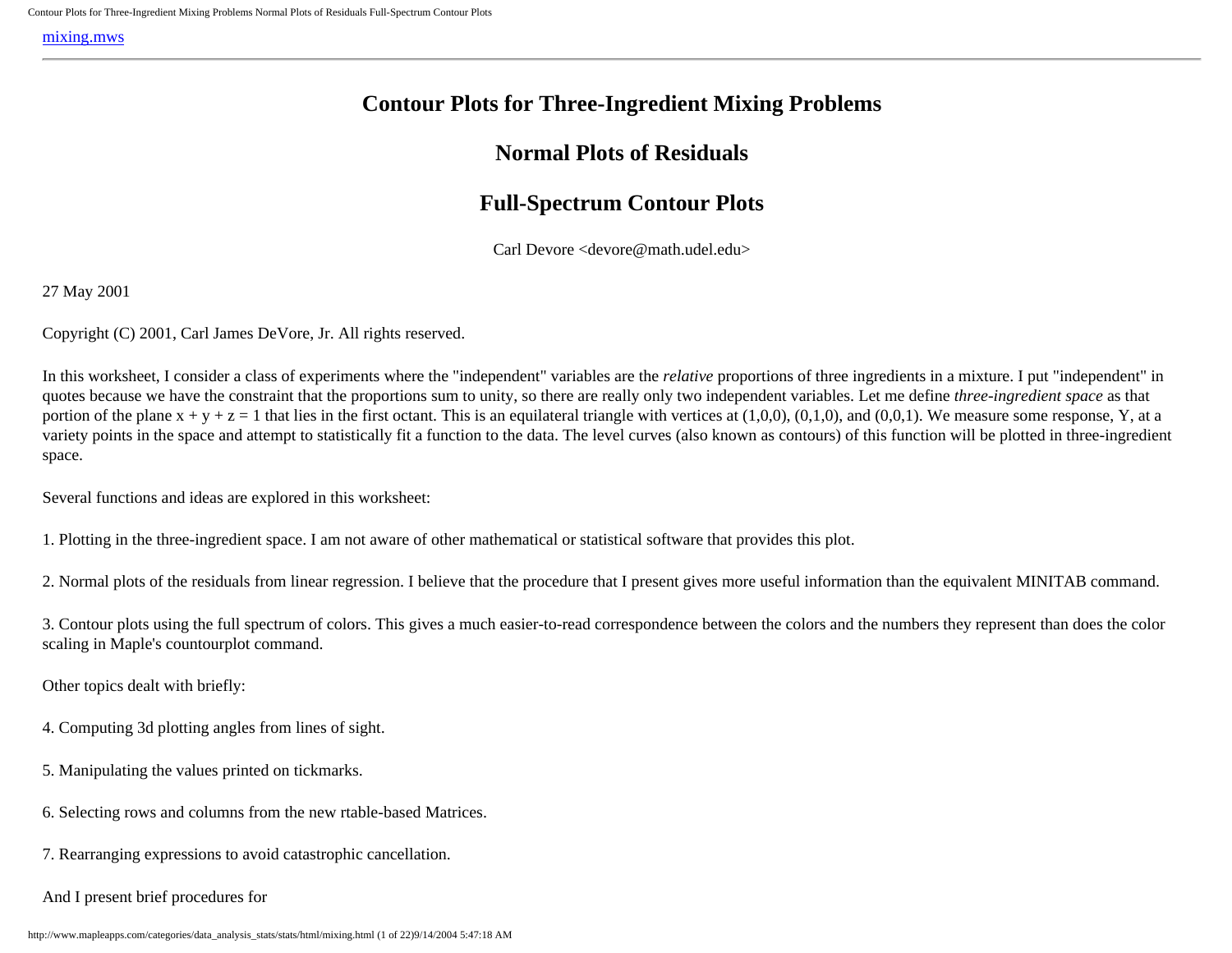# **Contour Plots for Three-Ingredient Mixing Problems**

## **Normal Plots of Residuals**

# **Full-Spectrum Contour Plots**

Carl Devore <devore@math.udel.edu>

<span id="page-0-0"></span>27 May 2001

Copyright (C) 2001, Carl James DeVore, Jr. All rights reserved.

In this worksheet, I consider a class of experiments where the "independent" variables are the *relative* proportions of three ingredients in a mixture. I put "independent" in quotes because we have the constraint that the proportions sum to unity, so there are really only two independent variables. Let me define *three-ingredient space* as that portion of the plane  $x + y + z = 1$  that lies in the first octant. This is an equilateral triangle with vertices at  $(1,0,0)$ ,  $(0,1,0)$ , and  $(0,0,1)$ . We measure some response, Y, at a variety points in the space and attempt to statistically fit a function to the data. The level curves (also known as contours) of this function will be plotted in three-ingredient space.

Several functions and ideas are explored in this worksheet:

1. Plotting in the three-ingredient space. I am not aware of other mathematical or statistical software that provides this plot.

2. Normal plots of the residuals from linear regression. I believe that the procedure that I present gives more useful information than the equivalent MINITAB command.

3. Contour plots using the full spectrum of colors. This gives a much easier-to-read correspondence between the colors and the numbers they represent than does the color scaling in Maple's countourplot command.

Other topics dealt with briefly:

- 4. Computing 3d plotting angles from lines of sight.
- 5. Manipulating the values printed on tickmarks.
- 6. Selecting rows and columns from the new rtable-based Matrices.
- 7. Rearranging expressions to avoid catastrophic cancellation.
- And I present brief procedures for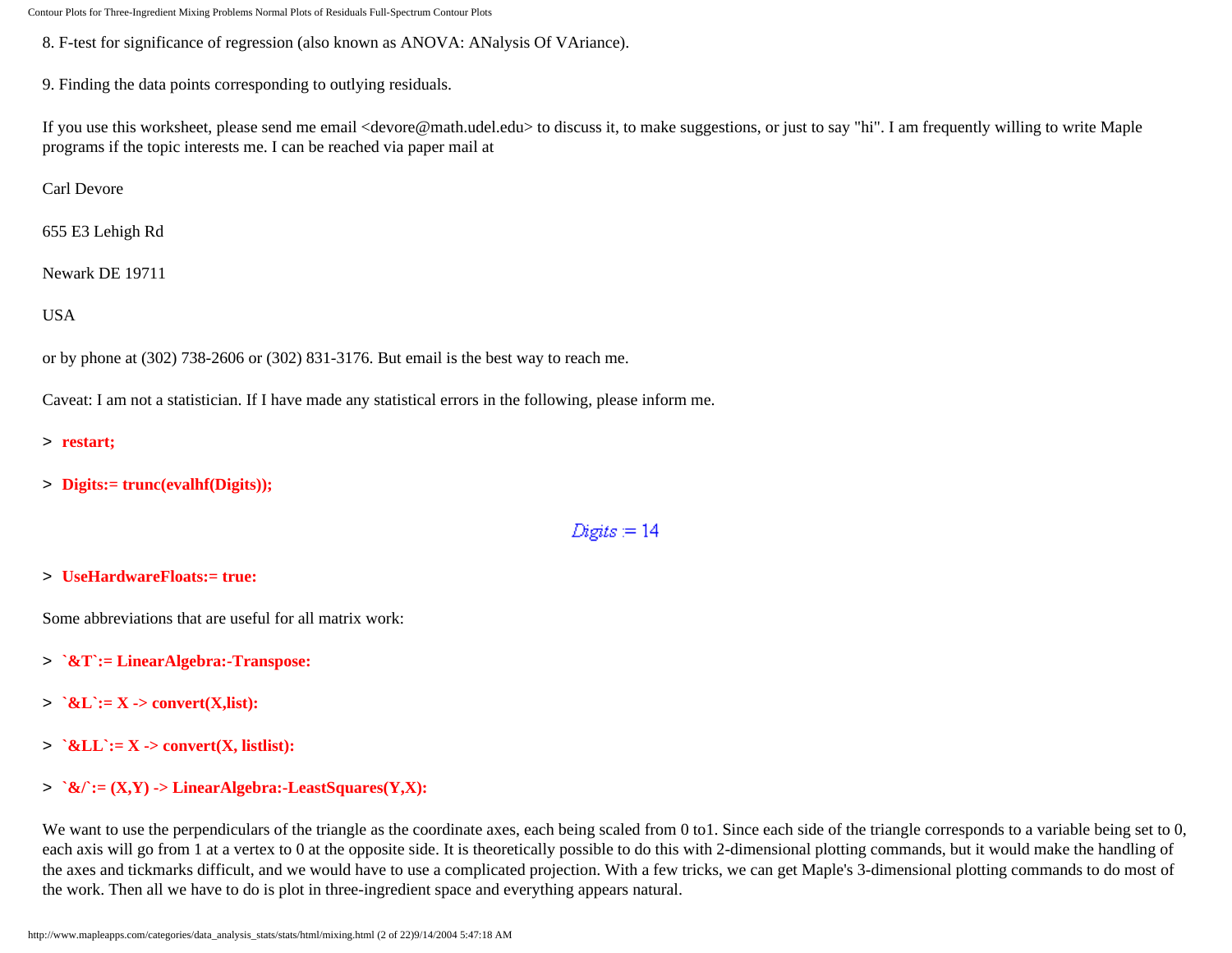8. F-test for significance of regression (also known as ANOVA: ANalysis Of VAriance).

9. Finding the data points corresponding to outlying residuals.

If you use this worksheet, please send me email <devore@math.udel.edu> to discuss it, to make suggestions, or just to say "hi". I am frequently willing to write Maple programs if the topic interests me. I can be reached via paper mail at

Carl Devore

655 E3 Lehigh Rd

Newark DE 19711

USA

or by phone at (302) 738-2606 or (302) 831-3176. But email is the best way to reach me.

Caveat: I am not a statistician. If I have made any statistical errors in the following, please inform me.

- > **restart;**
- > **Digits:= trunc(evalhf(Digits));**

 $Digits = 14$ 

#### > **UseHardwareFloats:= true:**

Some abbreviations that are useful for all matrix work:

- > **`&T`:= LinearAlgebra:-Transpose:**
- $>$   $\&L := X \text{convert}(X,\text{list})$ :
- > **`&LL`:= X -> convert(X, listlist):**
- > **`&/`:= (X,Y) -> LinearAlgebra:-LeastSquares(Y,X):**

We want to use the perpendiculars of the triangle as the coordinate axes, each being scaled from 0 to 1. Since each side of the triangle corresponds to a variable being set to 0, each axis will go from 1 at a vertex to 0 at the opposite side. It is theoretically possible to do this with 2-dimensional plotting commands, but it would make the handling of the axes and tickmarks difficult, and we would have to use a complicated projection. With a few tricks, we can get Maple's 3-dimensional plotting commands to do most of the work. Then all we have to do is plot in three-ingredient space and everything appears natural.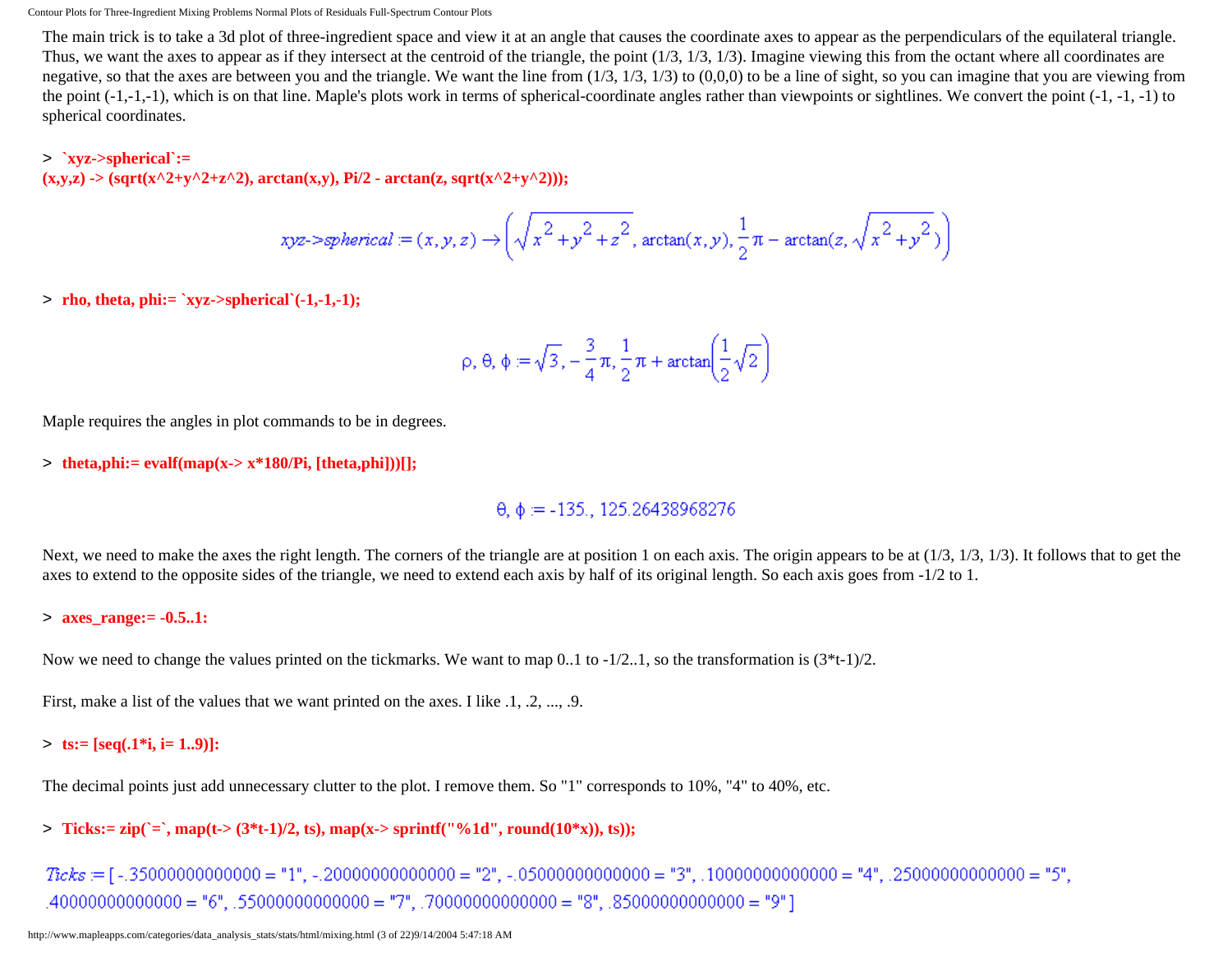The main trick is to take a 3d plot of three-ingredient space and view it at an angle that causes the coordinate axes to appear as the perpendiculars of the equilateral triangle. Thus, we want the axes to appear as if they intersect at the centroid of the triangle, the point (1/3, 1/3, 1/3). Imagine viewing this from the octant where all coordinates are negative, so that the axes are between you and the triangle. We want the line from  $(1/3, 1/3, 1/3)$  to  $(0,0,0)$  to be a line of sight, so you can imagine that you are viewing from the point  $(-1,-1,-1)$ , which is on that line. Maple's plots work in terms of spherical-coordinate angles rather than viewpoints or sightlines. We convert the point  $(-1,-1,-1)$  to spherical coordinates.

#### > **`xyz->spherical`:=**

 $(x,y,z)$  -> (sqrt(x^2+y^2+z^2), arctan(x,y), Pi/2 - arctan(z, sqrt(x^2+y^2)));

$$
xyz\rightarrow spherical := (x,y,z) \rightarrow \left(\sqrt{x^2+y^2+z^2}, \arctan(x,y), \frac{1}{2}\pi - \arctan(z, \sqrt{x^2+y^2})\right)
$$

> **rho, theta, phi:= `xyz->spherical`(-1,-1,-1);**

$$
\rho, \theta, \phi := \sqrt{3}, -\frac{3}{4}\pi, \frac{1}{2}\pi + \arctan\left(\frac{1}{2}\sqrt{2}\right)
$$

Maple requires the angles in plot commands to be in degrees.

> **theta,phi:= evalf(map(x-> x\*180/Pi, [theta,phi]))[];**

 $\theta$ ,  $\phi$  = -135., 125.26438968276

Next, we need to make the axes the right length. The corners of the triangle are at position 1 on each axis. The origin appears to be at  $(1/3, 1/3, 1/3)$ . It follows that to get the axes to extend to the opposite sides of the triangle, we need to extend each axis by half of its original length. So each axis goes from -1/2 to 1.

#### > **axes\_range:= -0.5..1:**

Now we need to change the values printed on the tickmarks. We want to map  $0.1$  to  $-1/2.1$ , so the transformation is  $(3*t-1)/2$ .

First, make a list of the values that we want printed on the axes. I like  $.1, .2, ..., .9$ .

#### > **ts:= [seq(.1\*i, i= 1..9)]:**

The decimal points just add unnecessary clutter to the plot. I remove them. So "1" corresponds to 10%, "4" to 40%, etc.

 $>$  **Ticks:**= zip(`=`, map(t-> (3\*t-1)/2, ts), map(x-> sprintf("%1d", round(10\*x)), ts));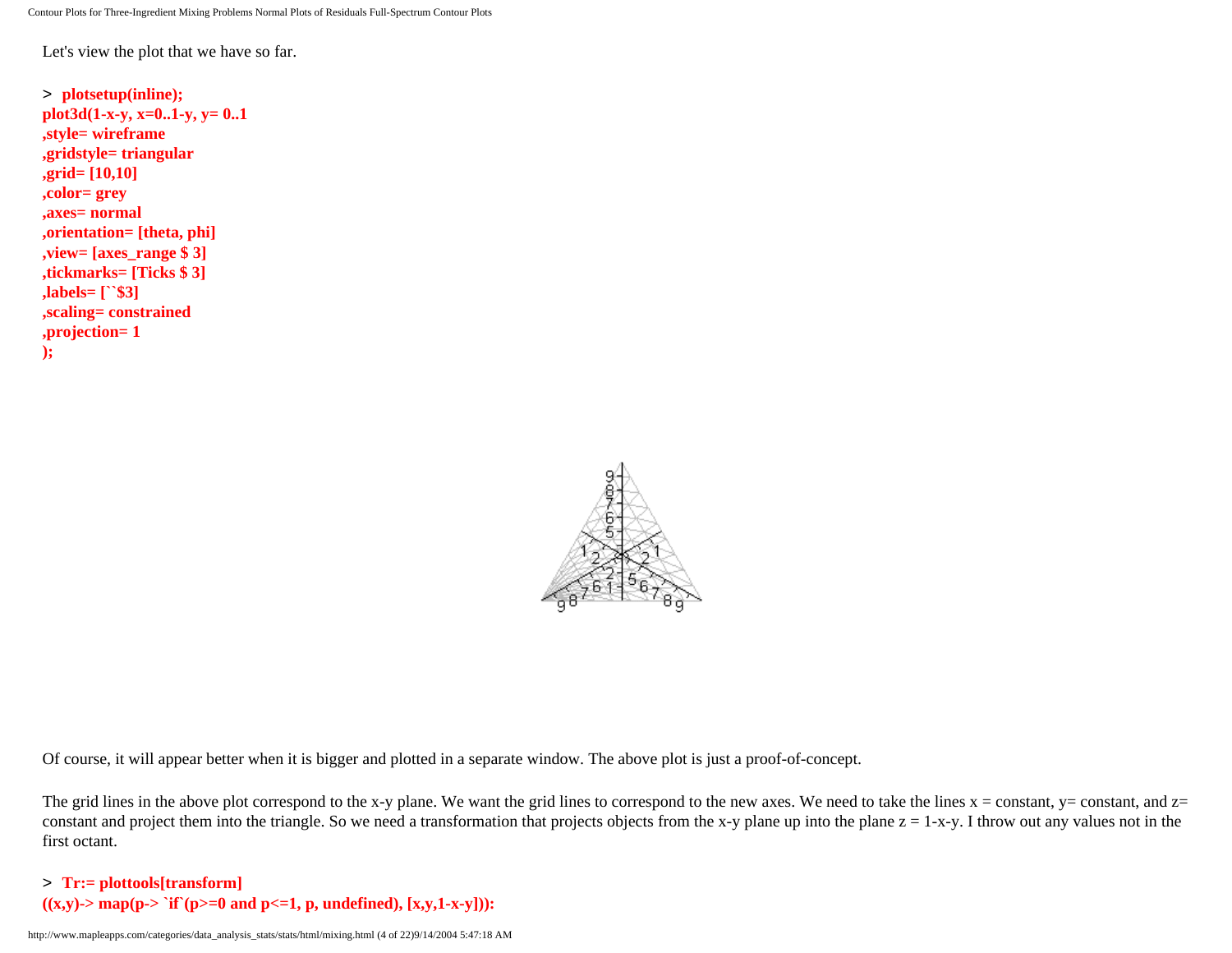Let's view the plot that we have so far.

```
> plotsetup(inline);
plot3d(1-x-y, x=0..1-y, y= 0..1
,style= wireframe
,gridstyle= triangular
,grid= [10,10]
,color= grey
,axes= normal
,orientation= [theta, phi]
,view= [axes_range $ 3]
,tickmarks= [Ticks $ 3]
,labels= [``$3]
,scaling= constrained
,projection= 1
);
```


Of course, it will appear better when it is bigger and plotted in a separate window. The above plot is just a proof-of-concept.

The grid lines in the above plot correspond to the x-y plane. We want the grid lines to correspond to the new axes. We need to take the lines  $x = constant$ ,  $y = constant$ , and  $z =$ constant and project them into the triangle. So we need a transformation that projects objects from the x-y plane up into the plane  $z = 1-x-y$ . I throw out any values not in the first octant.

#### > **Tr:= plottools[transform]**  $((x,y)$ -> map(p-> `if`(p>=0 and p<=1, p, undefined),  $[x,y,1-x-y]$ )):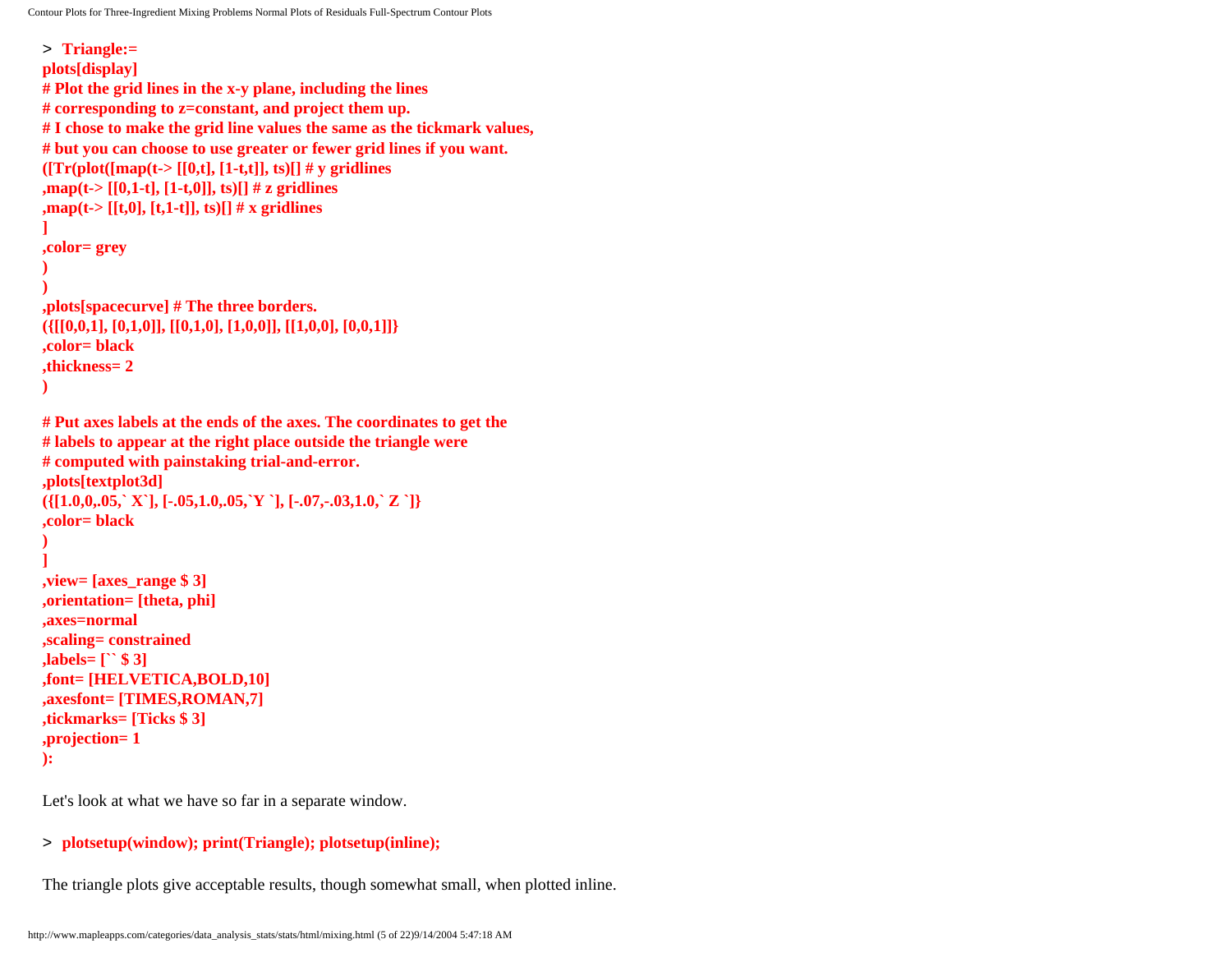```
Contour Plots for Three-Ingredient Mixing Problems Normal Plots of Residuals Full-Spectrum Contour Plots
```

```
> Triangle:= 
plots[display]
# Plot the grid lines in the x-y plane, including the lines 
# corresponding to z=constant, and project them up.
# I chose to make the grid line values the same as the tickmark values, 
# but you can choose to use greater or fewer grid lines if you want. 
([Tr(plot([map(t>[[0,t],[1-t,t]],ts)]] # y gridlines
,map(t-> [[0,1-t], [1-t,0]], ts)[] # z gridlines
,map(t-> [[t,0], [t,1-t]], ts)[] # x gridlines
] 
,color= grey
)
)
,plots[spacecurve] # The three borders.
({[[0,0,1], [0,1,0]], [[0,1,0], [1,0,0]], [[1,0,0], [0,0,1]]} 
,color= black
,thickness= 2
)
# Put axes labels at the ends of the axes. The coordinates to get the
# labels to appear at the right place outside the triangle were 
# computed with painstaking trial-and-error.
,plots[textplot3d]
({[1.0,0,.05,` X`], [-.05,1.0,.05,`Y `], [-.07,-.03,1.0,` Z `]}
,color= black
)
]
,view= [axes_range $ 3]
,orientation= [theta, phi] 
,axes=normal
,scaling= constrained
,labels= [`` $ 3]
,font= [HELVETICA,BOLD,10]
,axesfont= [TIMES,ROMAN,7]
,tickmarks= [Ticks $ 3]
,projection= 1
):
```
Let's look at what we have so far in a separate window.

#### > **plotsetup(window); print(Triangle); plotsetup(inline);**

The triangle plots give acceptable results, though somewhat small, when plotted inline.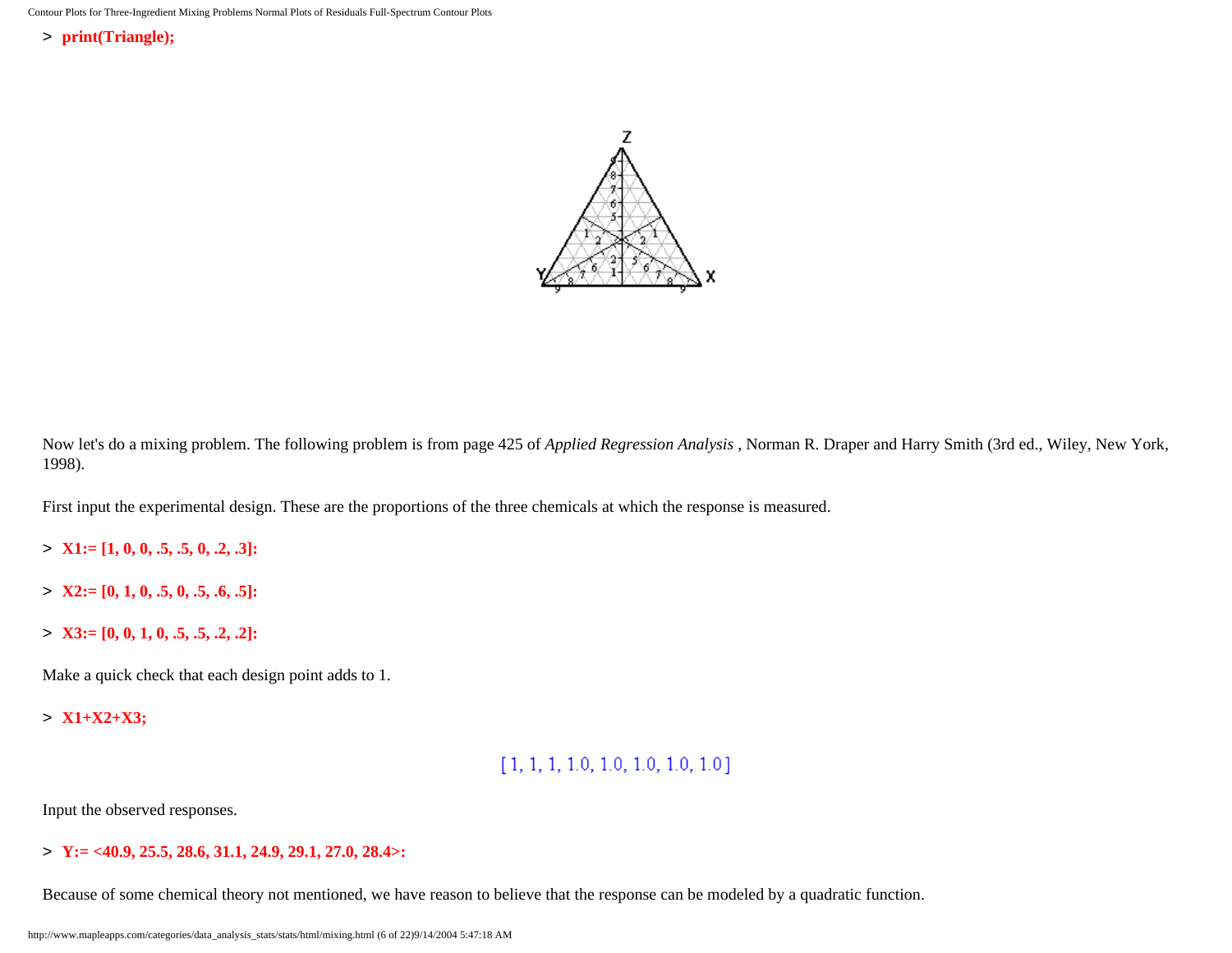> **print(Triangle);**



Now let's do a mixing problem. The following problem is from page 425 of *Applied Regression Analysis* , Norman R. Draper and Harry Smith (3rd ed., Wiley, New York, 1998).

First input the experimental design. These are the proportions of the three chemicals at which the response is measured.

- > **X1:= [1, 0, 0, .5, .5, 0, .2, .3]:**
- > **X2:= [0, 1, 0, .5, 0, .5, .6, .5]:**
- > **X3:= [0, 0, 1, 0, .5, .5, .2, .2]:**

Make a quick check that each design point adds to 1.

> **X1+X2+X3;**

# $[1, 1, 1, 1.0, 1.0, 1.0, 1.0, 1.0]$

Input the observed responses.

> **Y:= <40.9, 25.5, 28.6, 31.1, 24.9, 29.1, 27.0, 28.4>:**

Because of some chemical theory not mentioned, we have reason to believe that the response can be modeled by a quadratic function.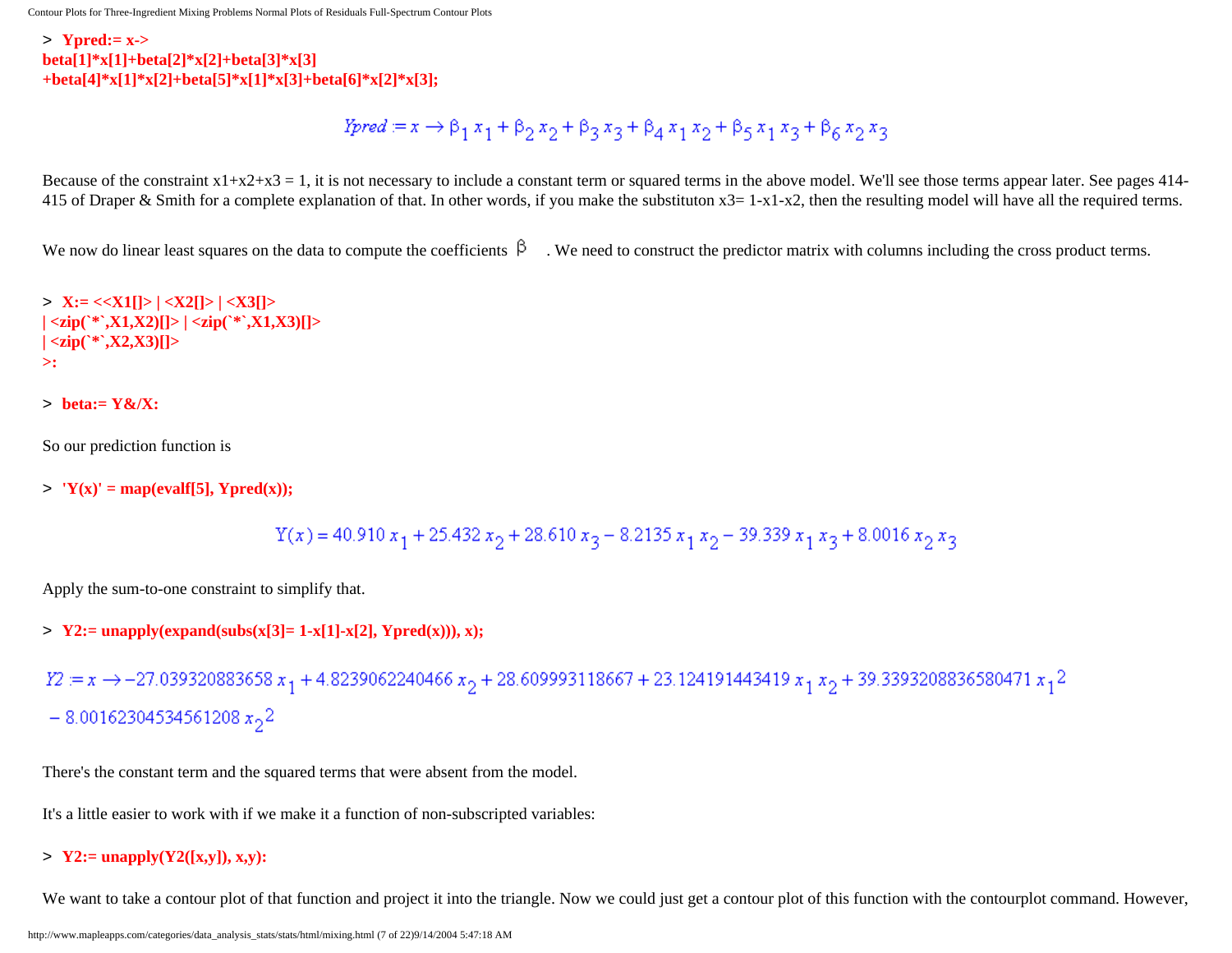> **Ypred:= x-> beta[1]\*x[1]+beta[2]\*x[2]+beta[3]\*x[3] +beta[4]\*x[1]\*x[2]+beta[5]\*x[1]\*x[3]+beta[6]\*x[2]\*x[3];**

*Ypred* := 
$$
x \rightarrow \beta_1 x_1 + \beta_2 x_2 + \beta_3 x_3 + \beta_4 x_1 x_2 + \beta_5 x_1 x_3 + \beta_6 x_2 x_3
$$

Because of the constraint  $x1+x2+x3 = 1$ , it is not necessary to include a constant term or squared terms in the above model. We'll see those terms appear later. See pages 414-415 of Draper & Smith for a complete explanation of that. In other words, if you make the substituton  $x3 = 1-x1-x2$ , then the resulting model will have all the required terms.

We now do linear least squares on the data to compute the coefficients  $\beta$ . We need to construct the predictor matrix with columns including the cross product terms.

> **X:= <<X1[]> | <X2[]> | <X3[]>**   $|\langle \text{zip}({}^*\text{X}1,\text{X}2)| \rangle| \langle \text{zip}({}^*\text{X}1,\text{X}3)| \rangle$ **| <zip(`\*`,X2,X3)[]> >:**

```
> beta:= Y&/X:
```
So our prediction function is

 $>$  **'Y(x)'** = map(evalf[5], Ypred(x));

$$
\Upsilon(x) = 40.910 \; x_1 + 25.432 \; x_2 + 28.610 \; x_3 - 8.2135 \; x_1 \; x_2 - 39.339 \; x_1 \; x_3 + 8.0016 \; x_2 \; x_3
$$

Apply the sum-to-one constraint to simplify that.

 $> \text{Y2} := \text{unapply}(\text{expand}(\text{subs}(x[3] = 1-x[1]-x[2], \text{Ypred}(x))), x);$ 

 $Y2 = x \rightarrow -27.039320883658 x_1 + 4.8239062240466 x_2 + 28.609993118667 + 23.124191443419 x_1 x_2 + 39.3393208836580471 x_12$  $-8.00162304534561208 x<sub>2</sub>2$ 

There's the constant term and the squared terms that were absent from the model.

It's a little easier to work with if we make it a function of non-subscripted variables:

> **Y2:= unapply(Y2([x,y]), x,y):**

We want to take a contour plot of that function and project it into the triangle. Now we could just get a contour plot of this function with the contourplot command. However,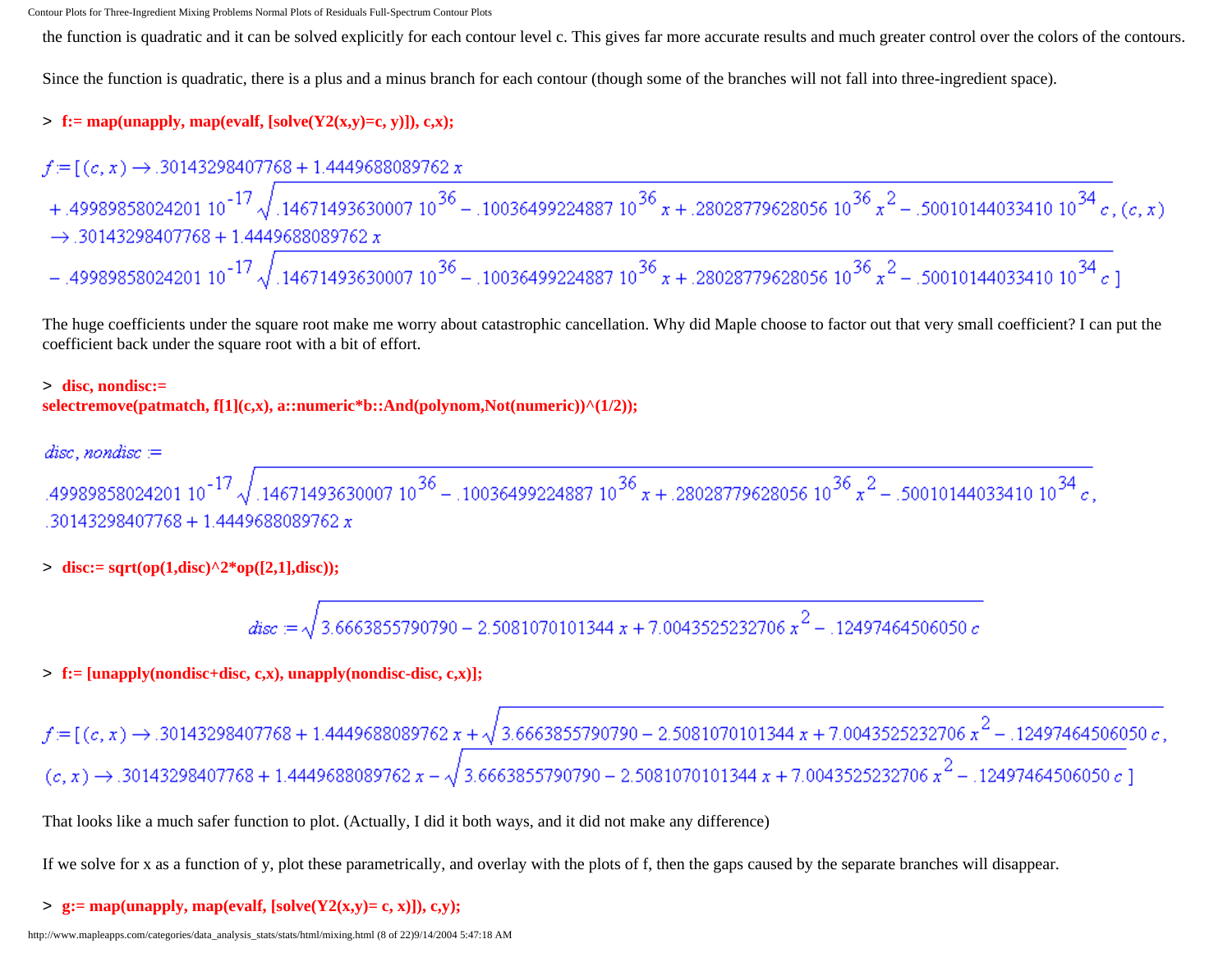the function is quadratic and it can be solved explicitly for each contour level c. This gives far more accurate results and much greater control over the colors of the contours.

Since the function is quadratic, there is a plus and a minus branch for each contour (though some of the branches will not fall into three-ingredient space).

#### $\Rightarrow$  **f:** = map(unapply, map(evalf, [solve(Y2(x,y)=c, y)]), c,x);

$$
f = [(c, x) \rightarrow .30143298407768 + 1.4449688089762 x
$$
  
+ .49989858024201 10<sup>-17</sup>  $\sqrt{.14671493630007 10^{36} - .10036499224887 10^{36} x + .28028779628056 10^{36} x^2 - .50010144033410 10^{34} c}$ ,  $(c, x)$   
 $\rightarrow .30143298407768 + 1.4449688089762 x$   
- .49989858024201 10<sup>-17</sup>  $\sqrt{.14671493630007 10^{36} - .10036499224887 10^{36} x + .28028779628056 10^{36} x^2 - .50010144033410 10^{34} c}$ 

The huge coefficients under the square root make me worry about catastrophic cancellation. Why did Maple choose to factor out that very small coefficient? I can put the coefficient back under the square root with a bit of effort.

#### > **disc, nondisc:= selectremove(patmatch, f[1](c,x), a::numeric\*b::And(polynom,Not(numeric))^(1/2));**

#### $disc, nondisc =$

aisc, nonaisc :=<br>.49989858024201 10<sup>-17</sup>  $\sqrt{.14671493630007 10^{36}}$  – .10036499224887 10<sup>36</sup> x + .28028779628056 10<sup>36</sup> x<sup>2</sup> – .50010144033410 10<sup>34</sup> c,  $.30143298407768 + 1.4449688089762 x$ 

 $>$  **disc:**= sqrt(op(1,disc)^2\*op([2,1],disc));

$$
disc := \sqrt{3.6663855790790 - 2.5081070101344 \, x + 7.0043525232706 \, x^2} - .12497464506050 \, c
$$

> **f:= [unapply(nondisc+disc, c,x), unapply(nondisc-disc, c,x)];**

 $f = [(c, x) \rightarrow .30143298407768 + 1.4449688089762 x + \sqrt{3.6663855790790 - 2.5081070101344 x + 7.0043525232706 x^2 - .12497464506050 c}$ ,<br> $(c, x) \rightarrow .30143298407768 + 1.4449688089762 x - \sqrt{3.6663855790790 - 2.5081070101344 x + 7.0043525232706 x^2 - .1$ 

That looks like a much safer function to plot. (Actually, I did it both ways, and it did not make any difference)

If we solve for x as a function of y, plot these parametrically, and overlay with the plots of f, then the gaps caused by the separate branches will disappear.

#### $>$  **g**: = map(unapply, map(evalf, [solve(Y2(x,y) = c, x)]), c,y);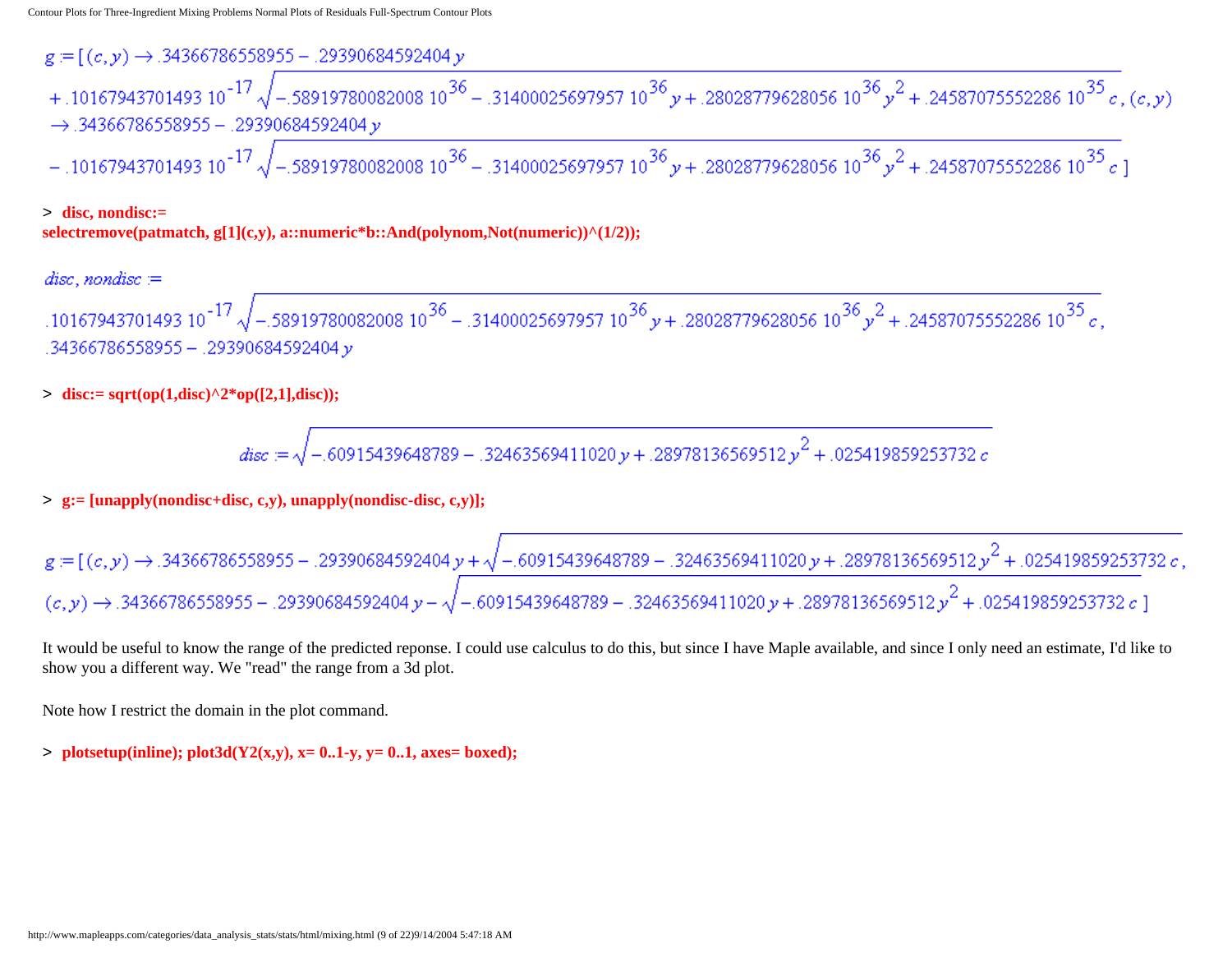$g = [(c, y) \rightarrow .34366786558955 - .29390684592404 y]$ + .10167943701493 10<sup>-17</sup>  $\sqrt{-5891978008200810^{36} - .3140002569795710^{36}y + .2802877962805610^{36}y^2 + .2458707555228610^{35}c}$ , (c,y)  $\rightarrow$  .34366786558955 - .29390684592404  $\nu$  $-$  .10167943701493 10<sup>-17</sup>  $\sqrt{-5891978008200810^{36}} - .3140002569795710^{36}$   $y + .2802877962805610^{36}$   $y^2 + .2458707555228610^{35}$   $c$  ]

#### > **disc, nondisc:= selectremove(patmatch, g[1](c,y), a::numeric\*b::And(polynom,Not(numeric))^(1/2));**

.10167943701493 10<sup>-17</sup>  $\sqrt{-5891978008200810^{36}}$  - .31400025697957 10 $^{36}$  y + .28028779628056 10 $^{36}$  y<sup>2</sup> + .24587075552286 10 $^{35}$  c, v 29390684592404. − 29390584592404.

 $>$  **disc:**= sqrt(op(1,disc)^2\*op([2,1],disc));

$$
disc:=\sqrt{-.60915439648789-.32463569411020 \, y+.28978136569512 \, y^2+.025419859253732 \, c}
$$

#### > **g:= [unapply(nondisc+disc, c,y), unapply(nondisc-disc, c,y)];**

$$
g = [(c, y) \rightarrow .34366786558955 - .29390684592404 y + \sqrt{-.60915439648789 - .32463569411020 y + .28978136569512 y^2 + .025419859253732 c,
$$
  

$$
(c, y) \rightarrow .34366786558955 - .29390684592404 y - \sqrt{-.60915439648789 - .32463569411020 y + .28978136569512 y^2 + .025419859253732 c} ]
$$

It would be useful to know the range of the predicted reponse. I could use calculus to do this, but since I have Maple available, and since I only need an estimate, I'd like to show you a different way. We "read" the range from a 3d plot.

Note how I restrict the domain in the plot command.

 $>$  **plotsetup(inline); plot3d(Y2(x,y), x= 0..1-y, y= 0..1, axes= boxed);**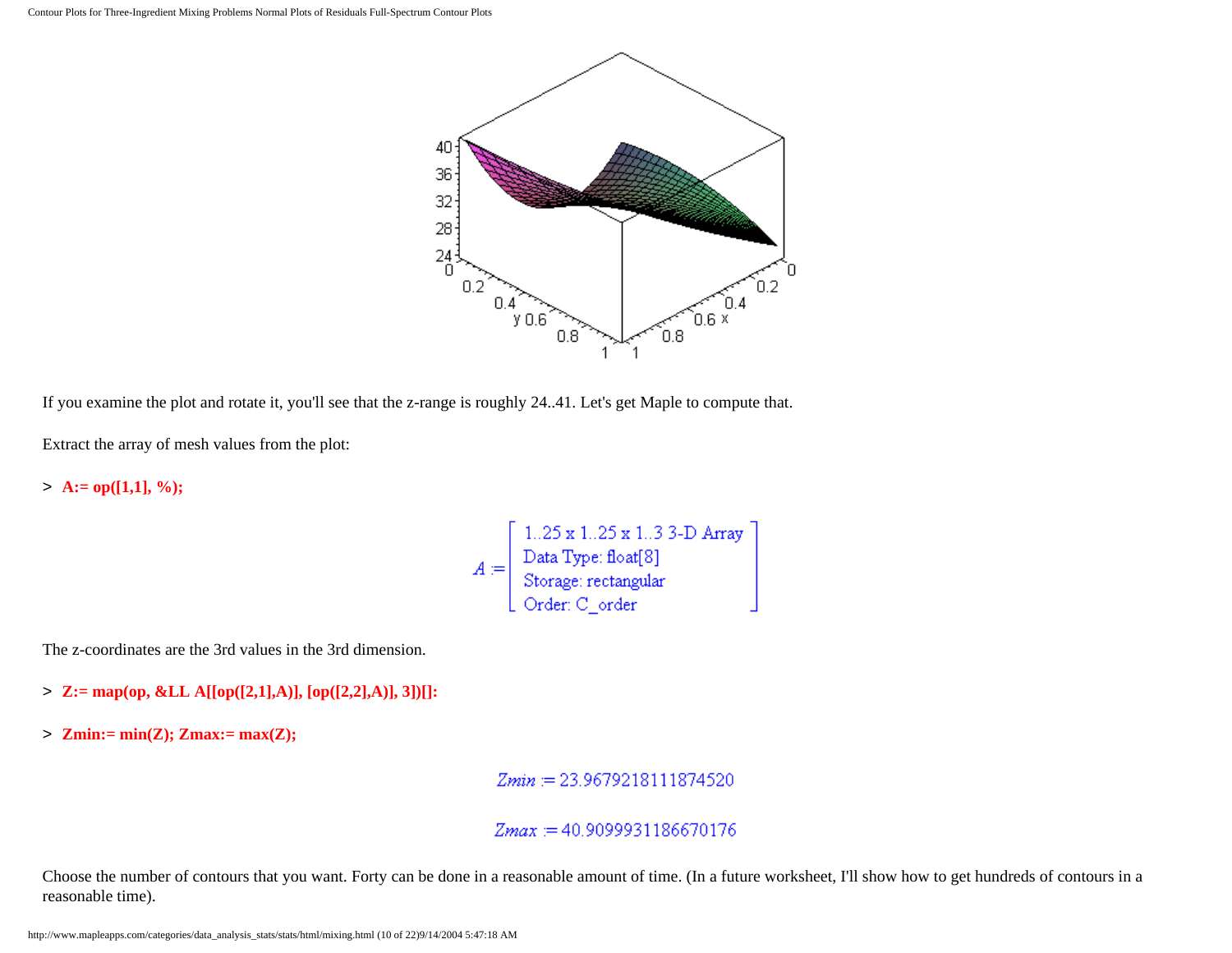

If you examine the plot and rotate it, you'll see that the z-range is roughly 24..41. Let's get Maple to compute that.

Extract the array of mesh values from the plot:

 $> A:= op([1,1], \%)$ ;

$$
A := \left[ \begin{array}{llll} 1..25 \ge 1..25 \ge 1..3 \ge 3-D \text{ Array} \\ \text{Data Type: float[8]} \\ \text{Storage: rectangular} \\ \text{Order: C_{order} \end{array} \right]
$$

The z-coordinates are the 3rd values in the 3rd dimension.

- > **Z:= map(op, &LL A[[op([2,1],A)], [op([2,2],A)], 3])[]:**
- > **Zmin:= min(Z); Zmax:= max(Z);**

 $Zmin := 23.9679218111874520$ 

#### $Zmax := 40.9099931186670176$

Choose the number of contours that you want. Forty can be done in a reasonable amount of time. (In a future worksheet, I'll show how to get hundreds of contours in a reasonable time).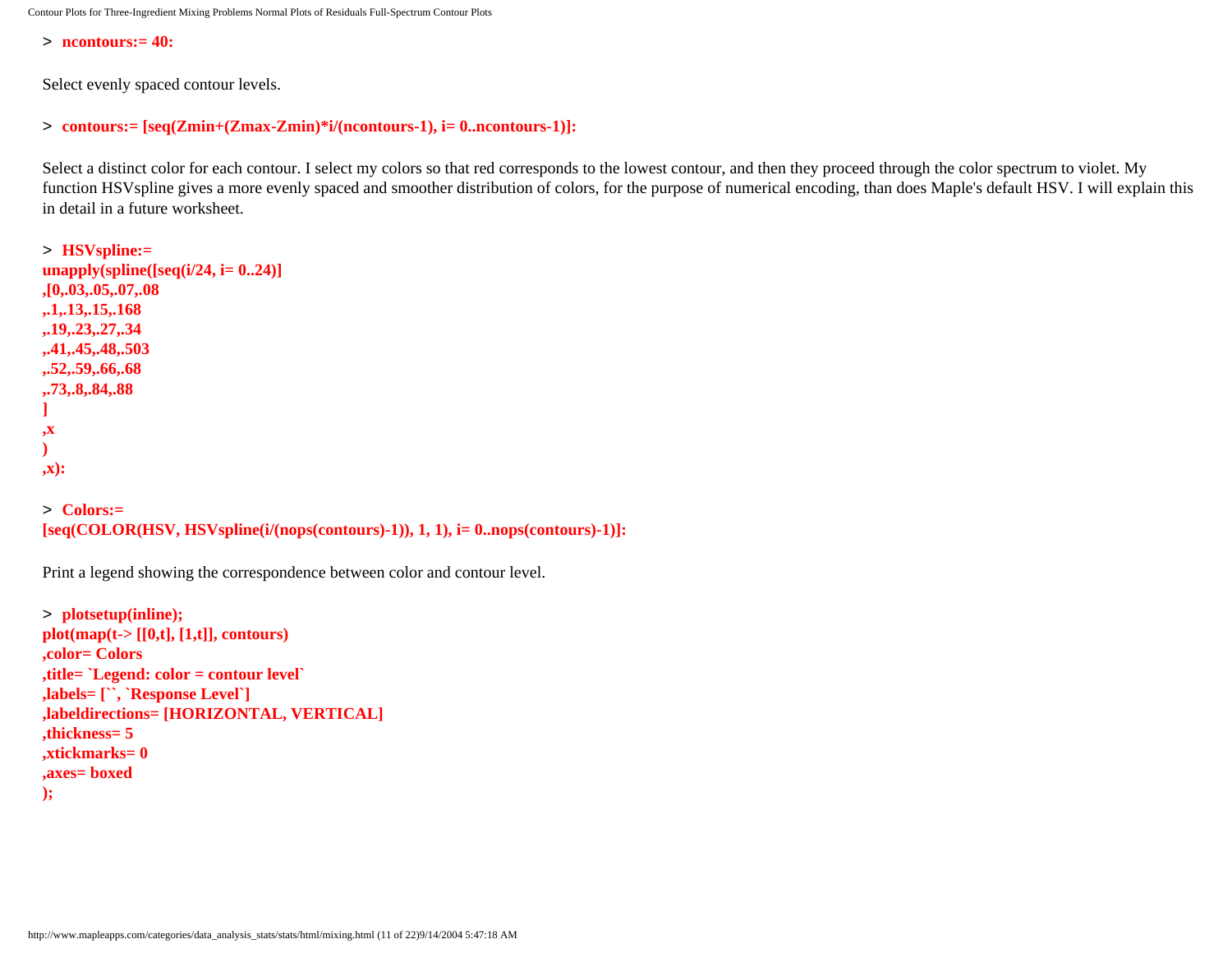> **ncontours:= 40:**

Select evenly spaced contour levels.

```
> contours:= [seq(Zmin+(Zmax-Zmin)*i/(ncontours-1), i= 0..ncontours-1)]:
```
Select a distinct color for each contour. I select my colors so that red corresponds to the lowest contour, and then they proceed through the color spectrum to violet. My function HSVspline gives a more evenly spaced and smoother distribution of colors, for the purpose of numerical encoding, than does Maple's default HSV. I will explain this in detail in a future worksheet.

```
> HSVspline:= 
unapply(spline([seq(i/24, i= 0..24)]
,[0,.03,.05,.07,.08
,.1,.13,.15,.168
,.19,.23,.27,.34
,.41,.45,.48,.503
,.52,.59,.66,.68
,.73,.8,.84,.88
]
,x
)
,x):
> Colors:=
```
**[seq(COLOR(HSV, HSVspline(i/(nops(contours)-1)), 1, 1), i= 0..nops(contours)-1)]:**

Print a legend showing the correspondence between color and contour level.

```
> plotsetup(inline);
plot(map(t-> [[0,t], [1,t]], contours)
,color= Colors
,title= `Legend: color = contour level`
,labels= [``, `Response Level`]
,labeldirections= [HORIZONTAL, VERTICAL]
,thickness= 5
,xtickmarks= 0
,axes= boxed
);
```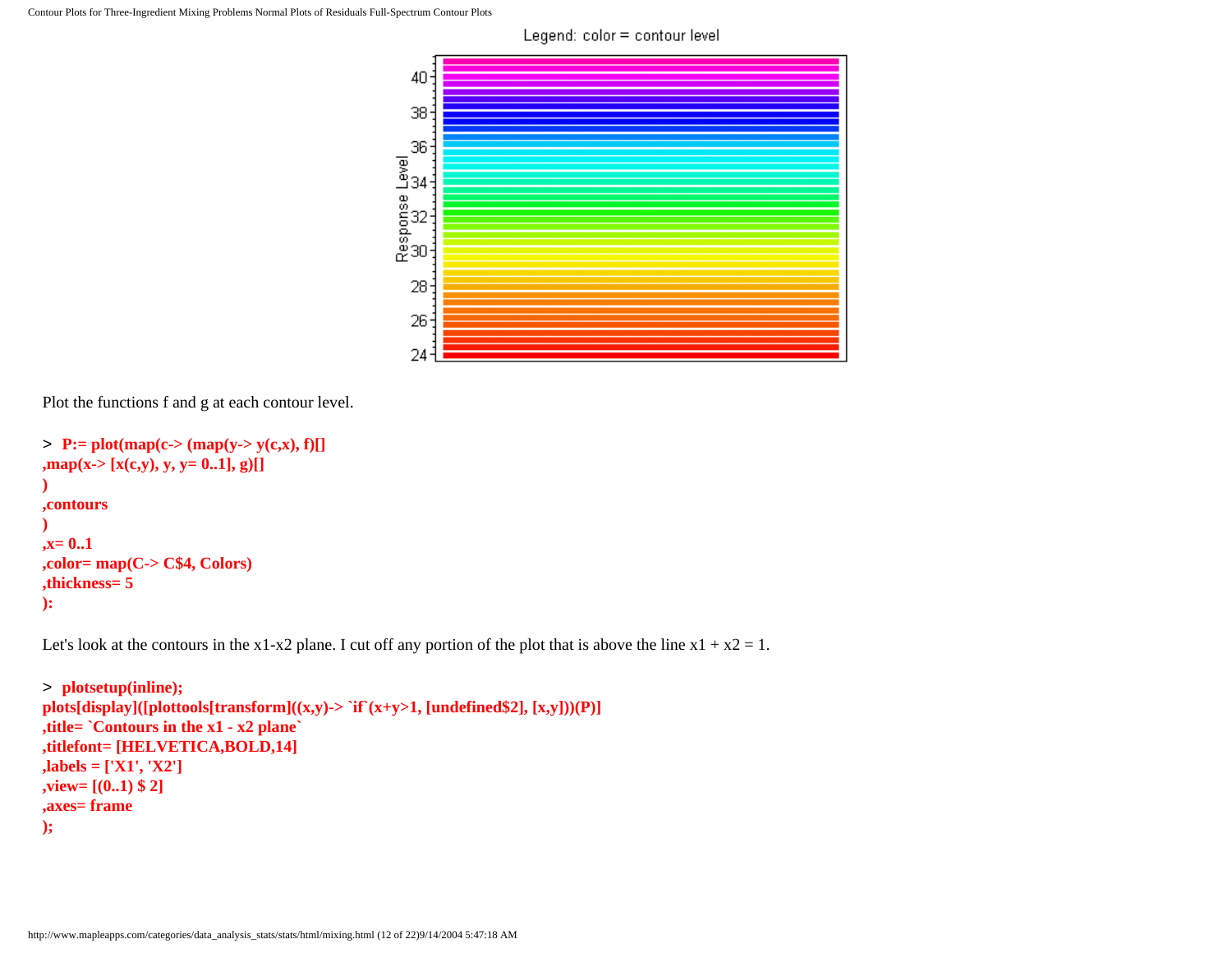

Plot the functions f and g at each contour level.

```
> P:= plot(map(c-> (map(y-> y(c,x), f)[]
,map(x-> [x(c,y), y, y= 0..1], g)[]
)
,contours
)
,x= 0..1
,color= map(C-> C$4, Colors)
,thickness= 5
):
```
Let's look at the contours in the x1-x2 plane. I cut off any portion of the plot that is above the line  $x1 + x2 = 1$ .

```
> plotsetup(inline);
plots[display]([plottools[transform]((x,y)-> `if`(x+y>1, [undefined$2], [x,y]))(P)]
,title= `Contours in the x1 - x2 plane`
,titlefont= [HELVETICA,BOLD,14]
,labels = ['X1', 'X2']
,view= [(0..1) $ 2]
,axes= frame
);
```
Legend: color = contour level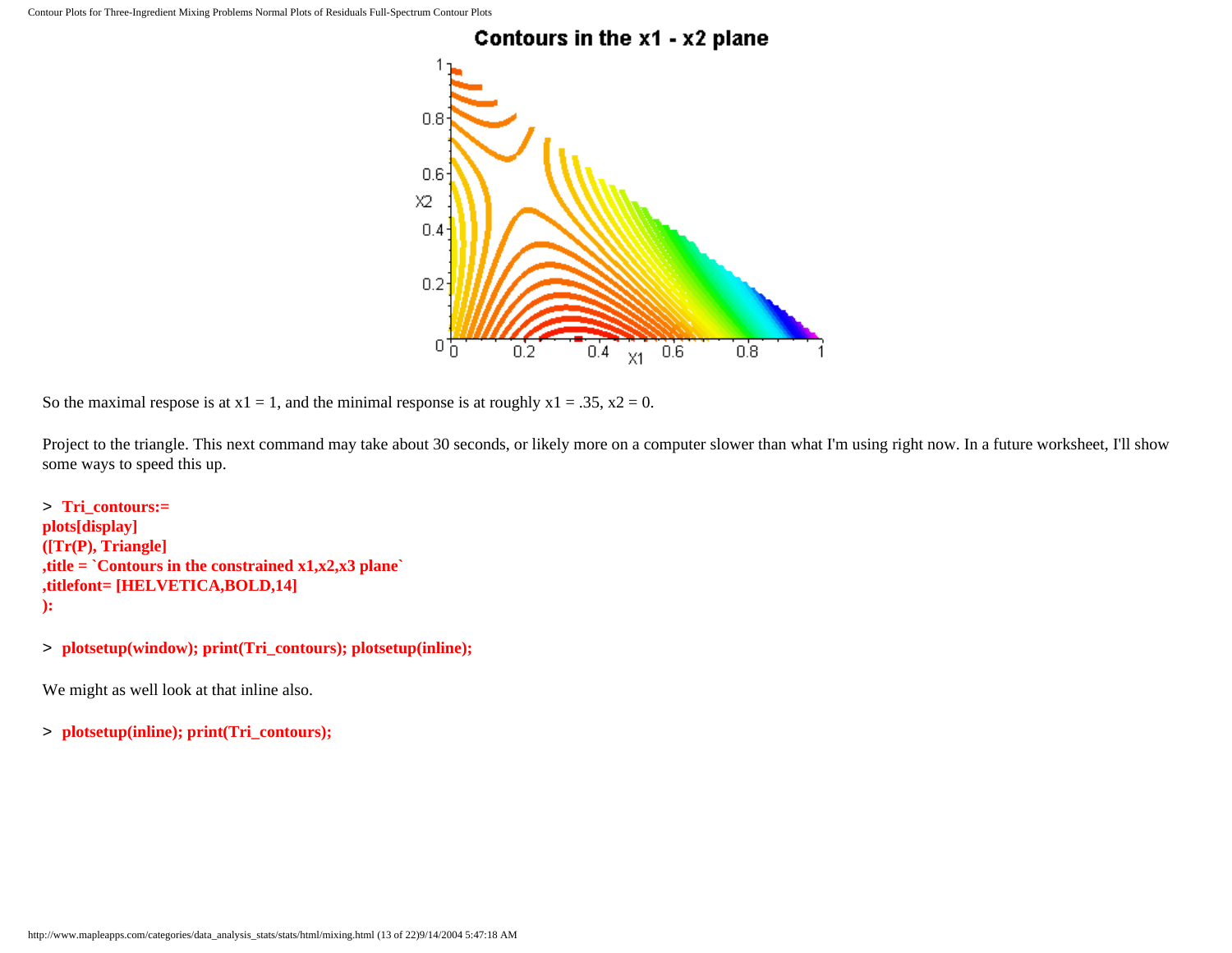

So the maximal respose is at  $x1 = 1$ , and the minimal response is at roughly  $x1 = .35$ ,  $x2 = 0$ .

Project to the triangle. This next command may take about 30 seconds, or likely more on a computer slower than what I'm using right now. In a future worksheet, I'll show some ways to speed this up.

```
> Tri_contours:= 
plots[display]
([Tr(P), Triangle]
,title = `Contours in the constrained x1,x2,x3 plane`
,titlefont= [HELVETICA,BOLD,14]
):
```
> **plotsetup(window); print(Tri\_contours); plotsetup(inline);**

We might as well look at that inline also.

> **plotsetup(inline); print(Tri\_contours);**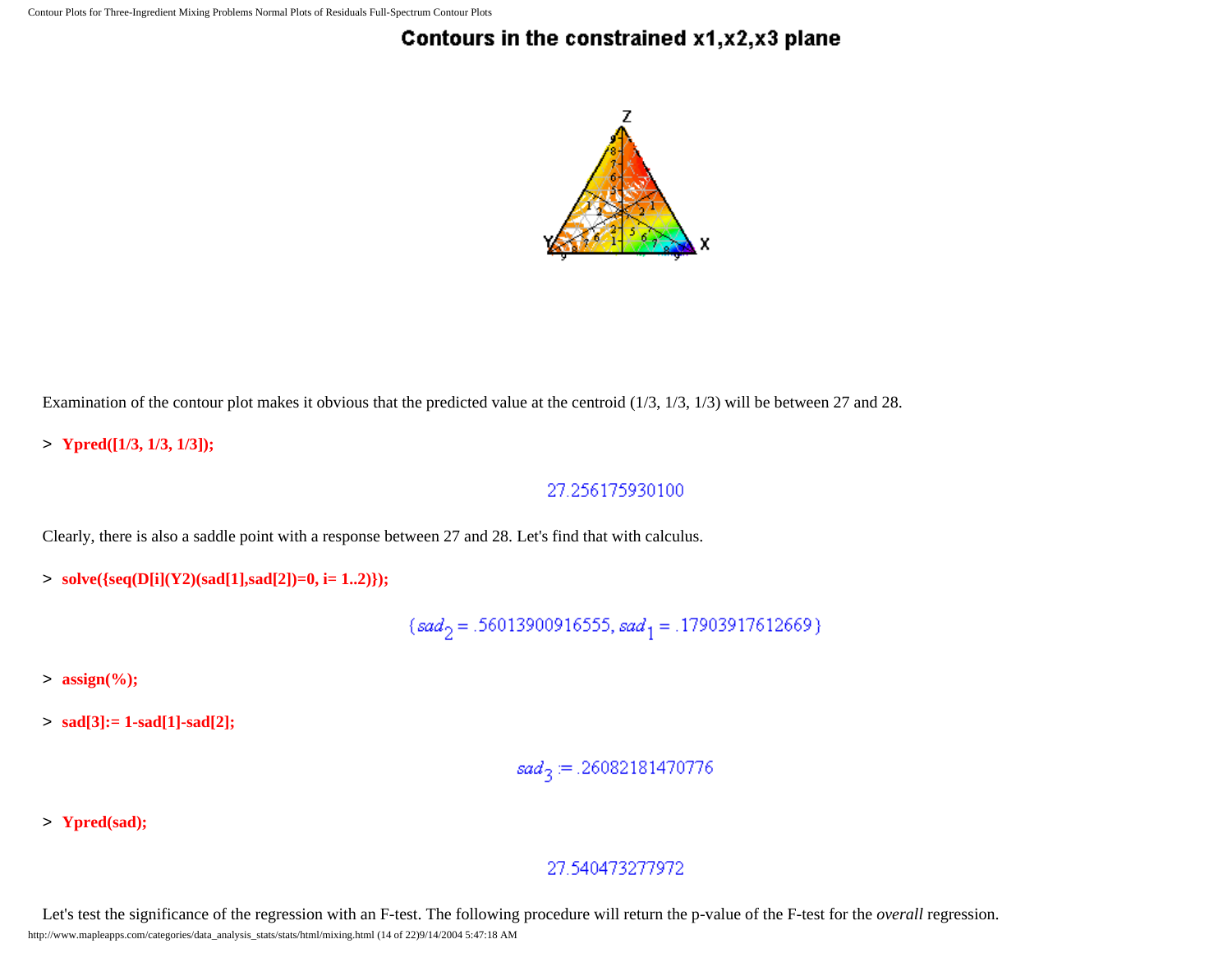# Contours in the constrained x1,x2,x3 plane



Examination of the contour plot makes it obvious that the predicted value at the centroid (1/3, 1/3, 1/3) will be between 27 and 28.

> **Ypred([1/3, 1/3, 1/3]);**

### 27.256175930100

Clearly, there is also a saddle point with a response between 27 and 28. Let's find that with calculus.

> **solve({seq(D[i](Y2)(sad[1],sad[2])=0, i= 1..2)});**

 $\{sad_2=.56013900916555, sad_1=.17903917612669\}$ 

> **assign(%);**

> **sad[3]:= 1-sad[1]-sad[2];**

$$
sad_3\!:=\!.26082181470776
$$

> **Ypred(sad);**

### 27.540473277972

Let's test the significance of the regression with an F-test. The following procedure will return the p-value of the F-test for the *overall* regression. http://www.mapleapps.com/categories/data\_analysis\_stats/stats/html/mixing.html (14 of 22)9/14/2004 5:47:18 AM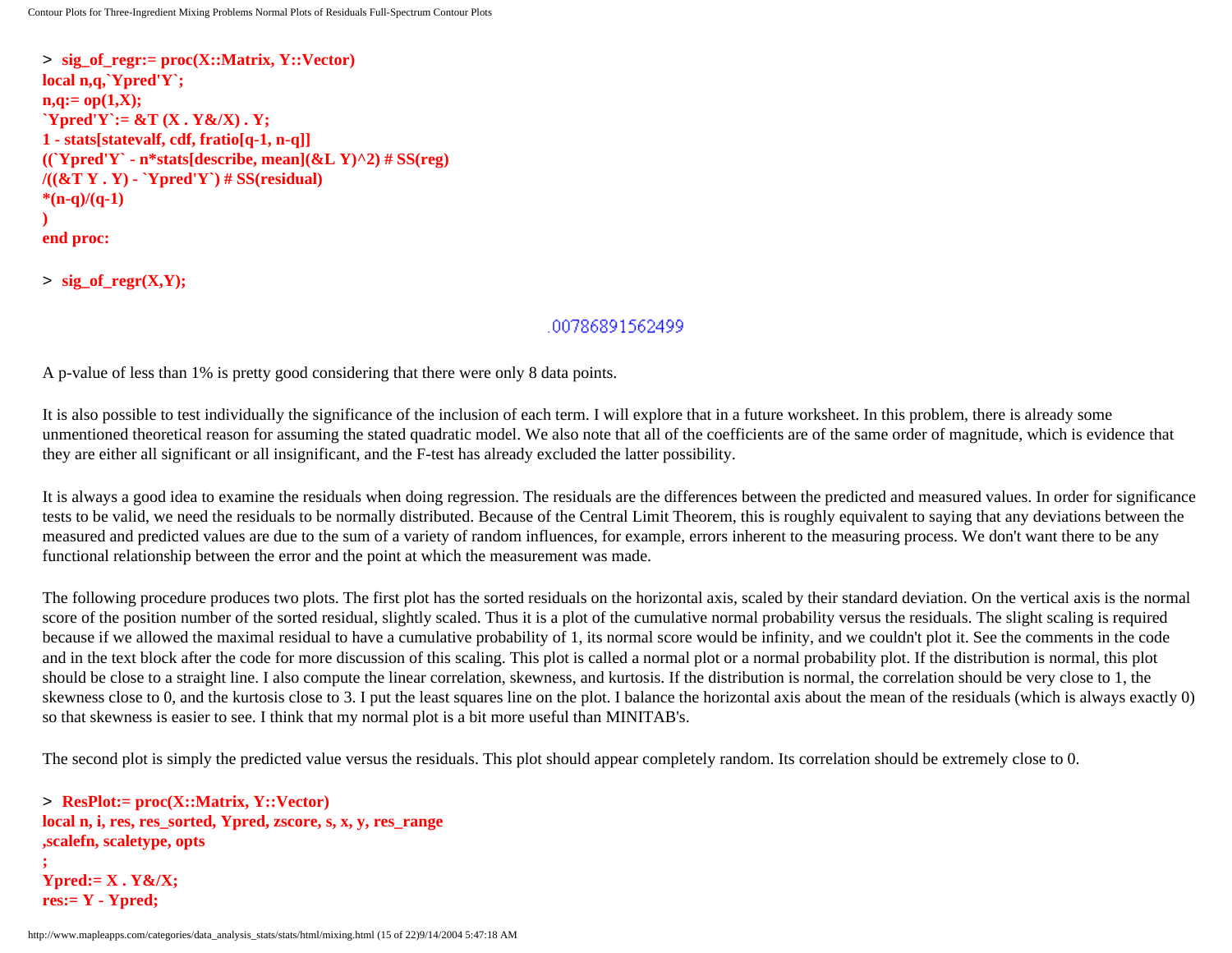> **sig\_of\_regr:= proc(X::Matrix, Y::Vector) local n,q,`Ypred'Y`; n,q:= op(1,X); `Ypred'Y`:= &T (X . Y&/X) . Y; 1 - stats[statevalf, cdf, fratio[q-1, n-q]]**  $((Ypred'Y - n*stats[describe, mean](&L Y)^2) \# SS(reg))$ **/((&T Y . Y) - `Ypred'Y`) # SS(residual) \*(n-q)/(q-1) ) end proc:**

 $>$  sig of regr(X,Y);

#### .00786891562499

A p-value of less than 1% is pretty good considering that there were only 8 data points.

It is also possible to test individually the significance of the inclusion of each term. I will explore that in a future worksheet. In this problem, there is already some unmentioned theoretical reason for assuming the stated quadratic model. We also note that all of the coefficients are of the same order of magnitude, which is evidence that they are either all significant or all insignificant, and the F-test has already excluded the latter possibility.

It is always a good idea to examine the residuals when doing regression. The residuals are the differences between the predicted and measured values. In order for significance tests to be valid, we need the residuals to be normally distributed. Because of the Central Limit Theorem, this is roughly equivalent to saying that any deviations between the measured and predicted values are due to the sum of a variety of random influences, for example, errors inherent to the measuring process. We don't want there to be any functional relationship between the error and the point at which the measurement was made.

The following procedure produces two plots. The first plot has the sorted residuals on the horizontal axis, scaled by their standard deviation. On the vertical axis is the normal score of the position number of the sorted residual, slightly scaled. Thus it is a plot of the cumulative normal probability versus the residuals. The slight scaling is required because if we allowed the maximal residual to have a cumulative probability of 1, its normal score would be infinity, and we couldn't plot it. See the comments in the code and in the text block after the code for more discussion of this scaling. This plot is called a normal plot or a normal probability plot. If the distribution is normal, this plot should be close to a straight line. I also compute the linear correlation, skewness, and kurtosis. If the distribution is normal, the correlation should be very close to 1, the skewness close to 0, and the kurtosis close to 3. I put the least squares line on the plot. I balance the horizontal axis about the mean of the residuals (which is always exactly 0) so that skewness is easier to see. I think that my normal plot is a bit more useful than MINITAB's.

The second plot is simply the predicted value versus the residuals. This plot should appear completely random. Its correlation should be extremely close to 0.

> **ResPlot:= proc(X::Matrix, Y::Vector) local n, i, res, res\_sorted, Ypred, zscore, s, x, y, res\_range ,scalefn, scaletype, opts ; Ypred:= X . Y&/X; res:= Y - Ypred;**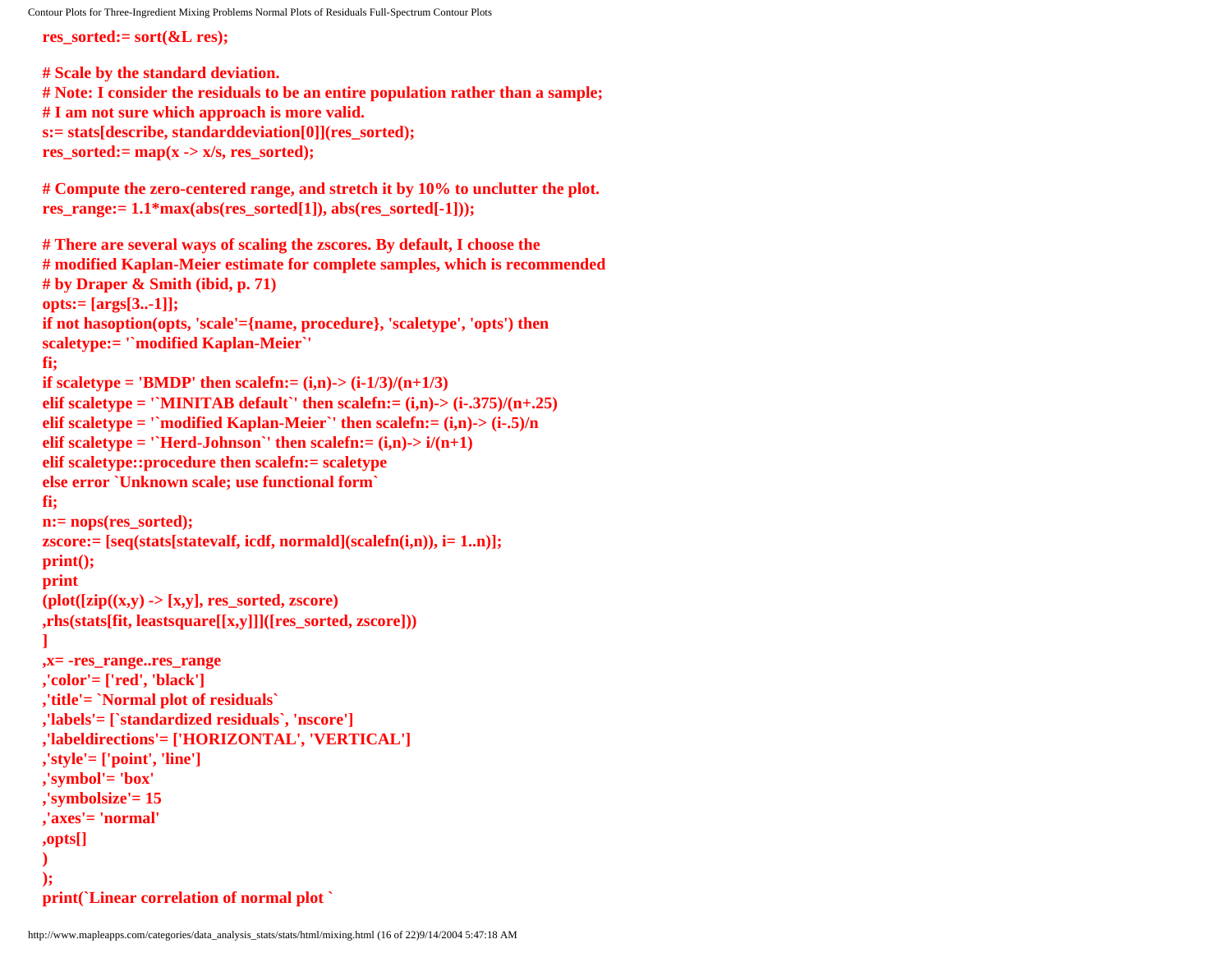**res\_sorted:= sort(&L res);**

```
# Scale by the standard deviation.
# Note: I consider the residuals to be an entire population rather than a sample;
# I am not sure which approach is more valid.
s:= stats[describe, standarddeviation[0]](res_sorted);
res_sorted:= map(x -> x/s, \text{res} \text{ sorted});# Compute the zero-centered range, and stretch it by 10% to unclutter the plot. 
res_range:= 1.1*max(abs(res-sorted[1]), abs(res-sorted[-1]):# There are several ways of scaling the zscores. By default, I choose the
# modified Kaplan-Meier estimate for complete samples, which is recommended
# by Draper & Smith (ibid, p. 71)
opts:= [args[3..-1]];
if not hasoption(opts, 'scale'={name, procedure}, 'scaletype', 'opts') then 
scaletype:= '`modified Kaplan-Meier`'
fi;
if scaletype = 'BMDP' then scalefn:= (i,n)-> (i-1/3)/(n+1/3)elif scaletype = '`MINITAB default`' then scalefn:= (i,n)->(i-.375)/(n+.25)elif scaletype = '`modified Kaplan-Meier`' then scalefn:= (i,n)-> (i-.5)/n
elif scaletype = '`Herd-Johnson`' then scalefn:= (i,n)->i/(n+1)elif scaletype::procedure then scalefn:= scaletype
else error `Unknown scale; use functional form`
fi;
n:= nops(res_sorted); 
zscore:= [seq(stats[statevalf, icdf, normald](scalefn(i,n)), i= 1..n)];
print();
print
(plot([zip((x,y) -> [x,y], res_sorted, zscore)
,rhs(stats[fit, leastsquare[[x,y]]]([res_sorted, zscore]))
]
,x= -res_range..res_range
,'color'= ['red', 'black']
,'title'= `Normal plot of residuals`
,'labels'= [`standardized residuals`, 'nscore']
,'labeldirections'= ['HORIZONTAL', 'VERTICAL']
,'style'= ['point', 'line']
,'symbol'= 'box'
,'symbolsize'= 15
,'axes'= 'normal'
,opts[]
)
);
print(`Linear correlation of normal plot `
```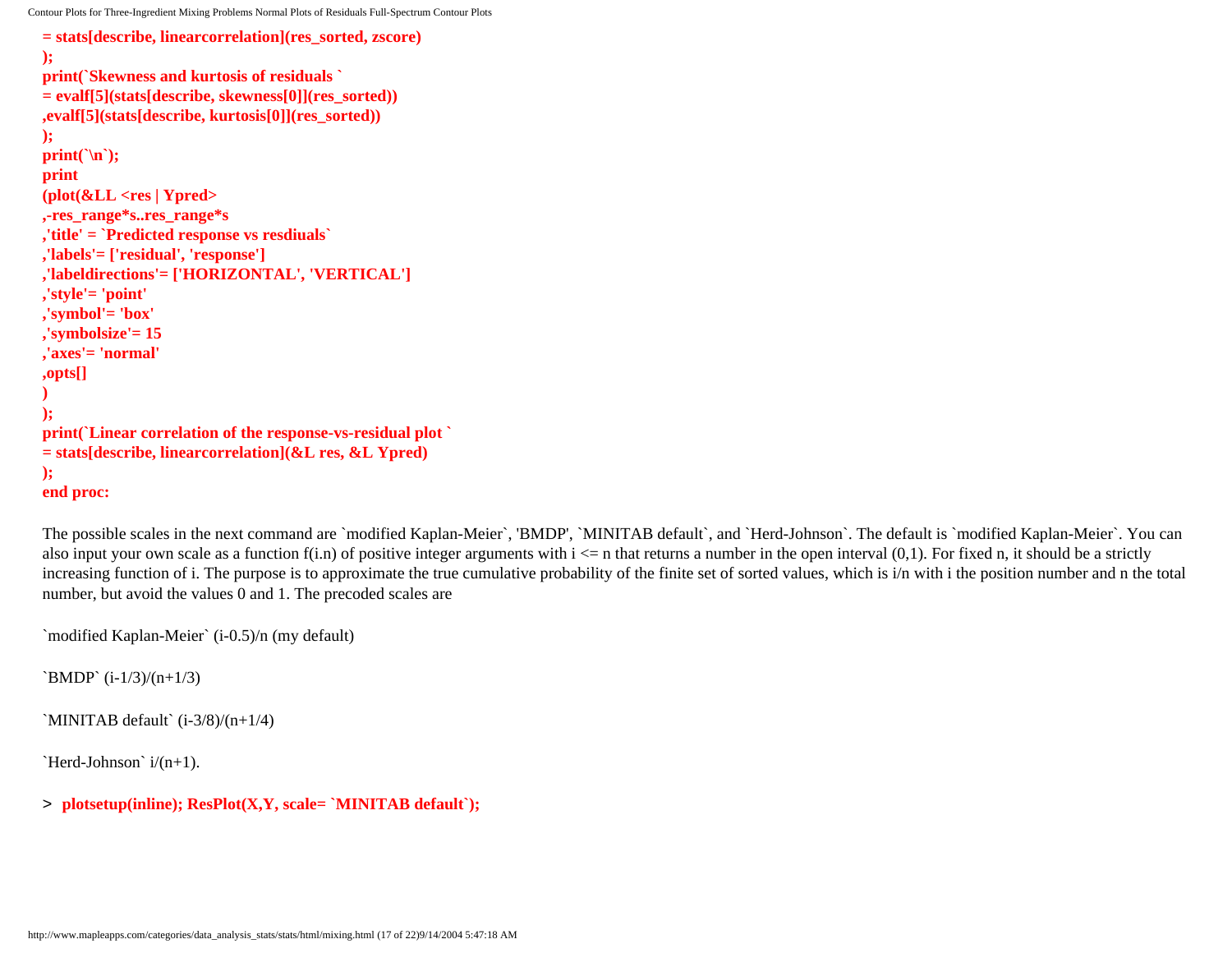```
= stats[describe, linearcorrelation](res_sorted, zscore)
);
print(`Skewness and kurtosis of residuals `
= evalf[5](stats[describe, skewness[0]](res_sorted))
,evalf[5](stats[describe, kurtosis[0]](res_sorted))
);
print(`\n`);
print
(plot(&LL <res | Ypred>
,-res_range*s..res_range*s
,'title' = `Predicted response vs resdiuals`
,'labels'= ['residual', 'response']
,'labeldirections'= ['HORIZONTAL', 'VERTICAL']
,'style'= 'point'
,'symbol'= 'box'
,'symbolsize'= 15 
,'axes'= 'normal'
,opts[]
)
);
print(`Linear correlation of the response-vs-residual plot `
= stats[describe, linearcorrelation](&L res, &L Ypred)
);
end proc:
```
The possible scales in the next command are `modified Kaplan-Meier`, 'BMDP', `MINITAB default`, and `Herd-Johnson`. The default is `modified Kaplan-Meier`. You can also input your own scale as a function  $f(i,n)$  of positive integer arguments with  $i \leq n$  that returns a number in the open interval (0,1). For fixed n, it should be a strictly increasing function of i. The purpose is to approximate the true cumulative probability of the finite set of sorted values, which is i/n with i the position number and n the total number, but avoid the values 0 and 1. The precoded scales are

`modified Kaplan-Meier` (i-0.5)/n (my default)

`BMDP`  $(i-1/3)/(n+1/3)$ 

`MINITAB default`  $(i-3/8)/(n+1/4)$ 

`Herd-Johnson`  $i/(n+1)$ .

> **plotsetup(inline); ResPlot(X,Y, scale= `MINITAB default`);**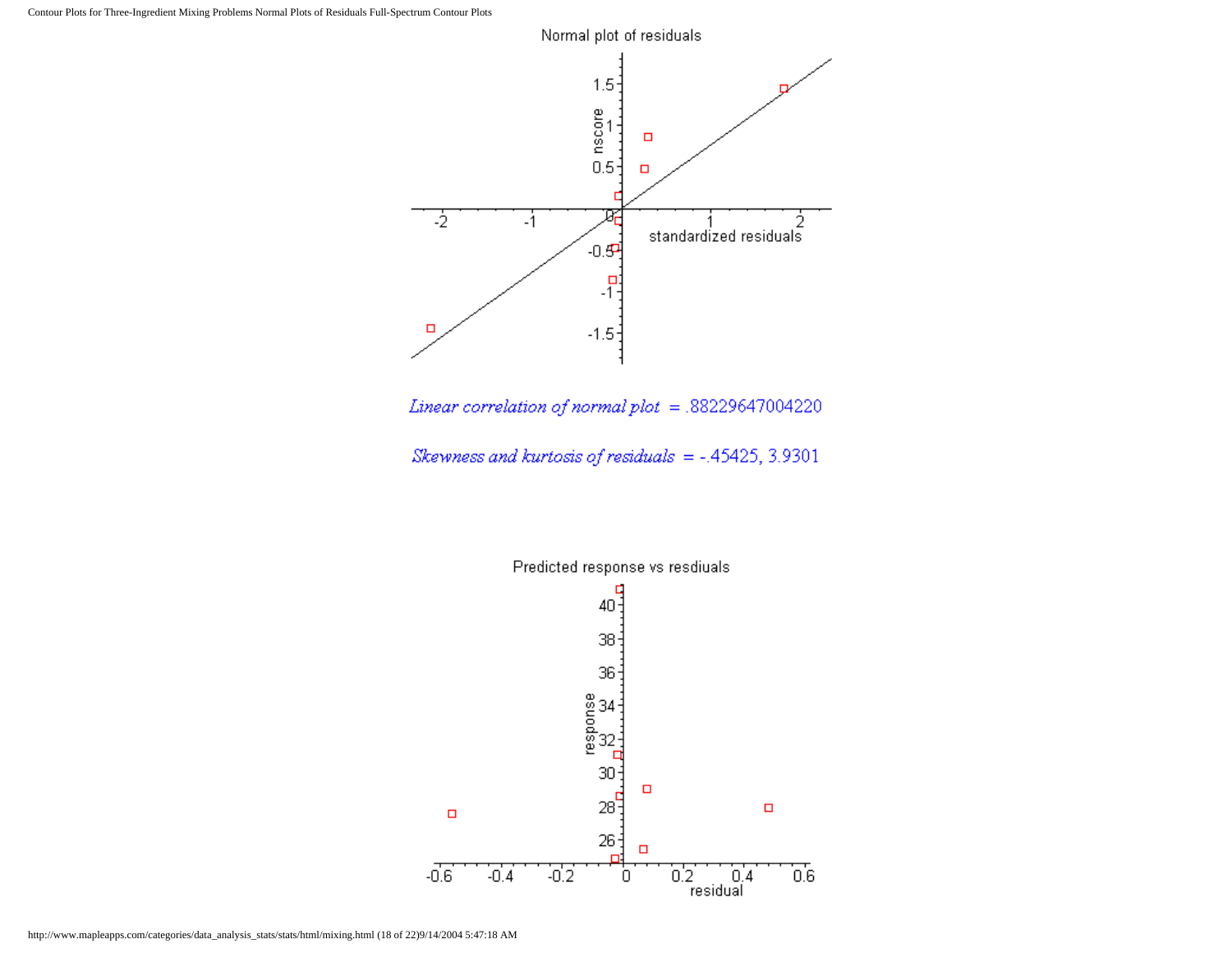

Linear correlation of normal plot  $= .88229647004220$ 

Skewness and kurtosis of residuals =  $-.45425, 3.9301$ 

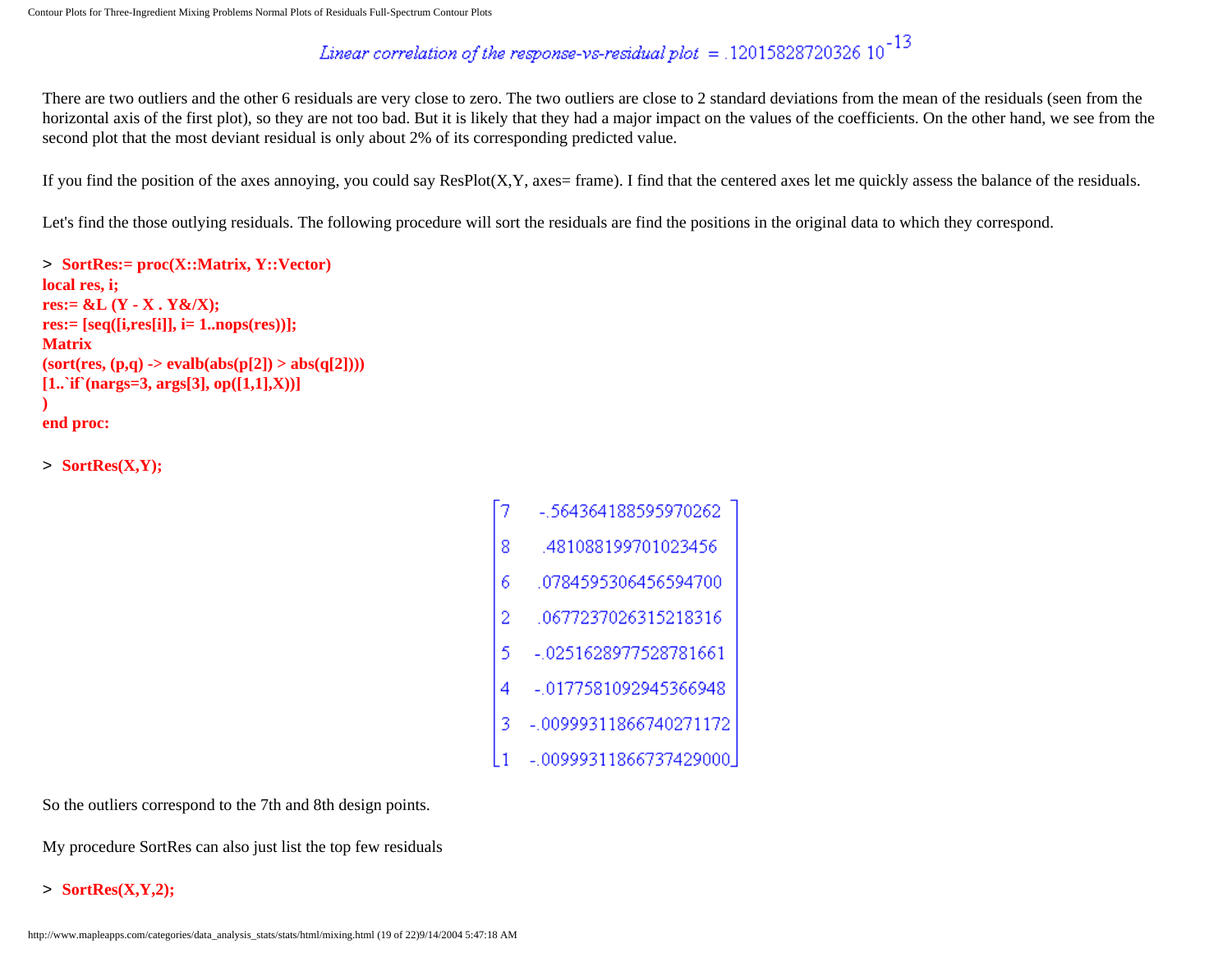# *Linear correlation of the response-vs-residual plot* = .12015828720326  $10^{-13}$

There are two outliers and the other 6 residuals are very close to zero. The two outliers are close to 2 standard deviations from the mean of the residuals (seen from the horizontal axis of the first plot), so they are not too bad. But it is likely that they had a major impact on the values of the coefficients. On the other hand, we see from the second plot that the most deviant residual is only about 2% of its corresponding predicted value.

If you find the position of the axes annoying, you could say ResPlot(X,Y, axes= frame). I find that the centered axes let me quickly assess the balance of the residuals.

Let's find the those outlying residuals. The following procedure will sort the residuals are find the positions in the original data to which they correspond.

```
> SortRes:= proc(X::Matrix, Y::Vector)
local res, i;
res:= &L (Y - X . Y&/X);
res:= [seq([i,res[i]], i= 1..nops(res))];
Matrix
(sort(res, (p,q) \rightarrow evalb(abs(p[2]) > abs(q[2]))[1..`if`(nargs=3, args[3], op([1,1],X))]
)
end proc:
```
> **SortRes(X,Y);**

-.564364188595970262 481088199701023456 8  $\overline{6}$ 0784595306456594700 0677237026315218316  $\overline{2}$ 5 -.0251628977528781661 -.0177581092945366948 4 -.00999311866740271172  $-00999311866737429000$ 

So the outliers correspond to the 7th and 8th design points.

My procedure SortRes can also just list the top few residuals

> **SortRes(X,Y,2);**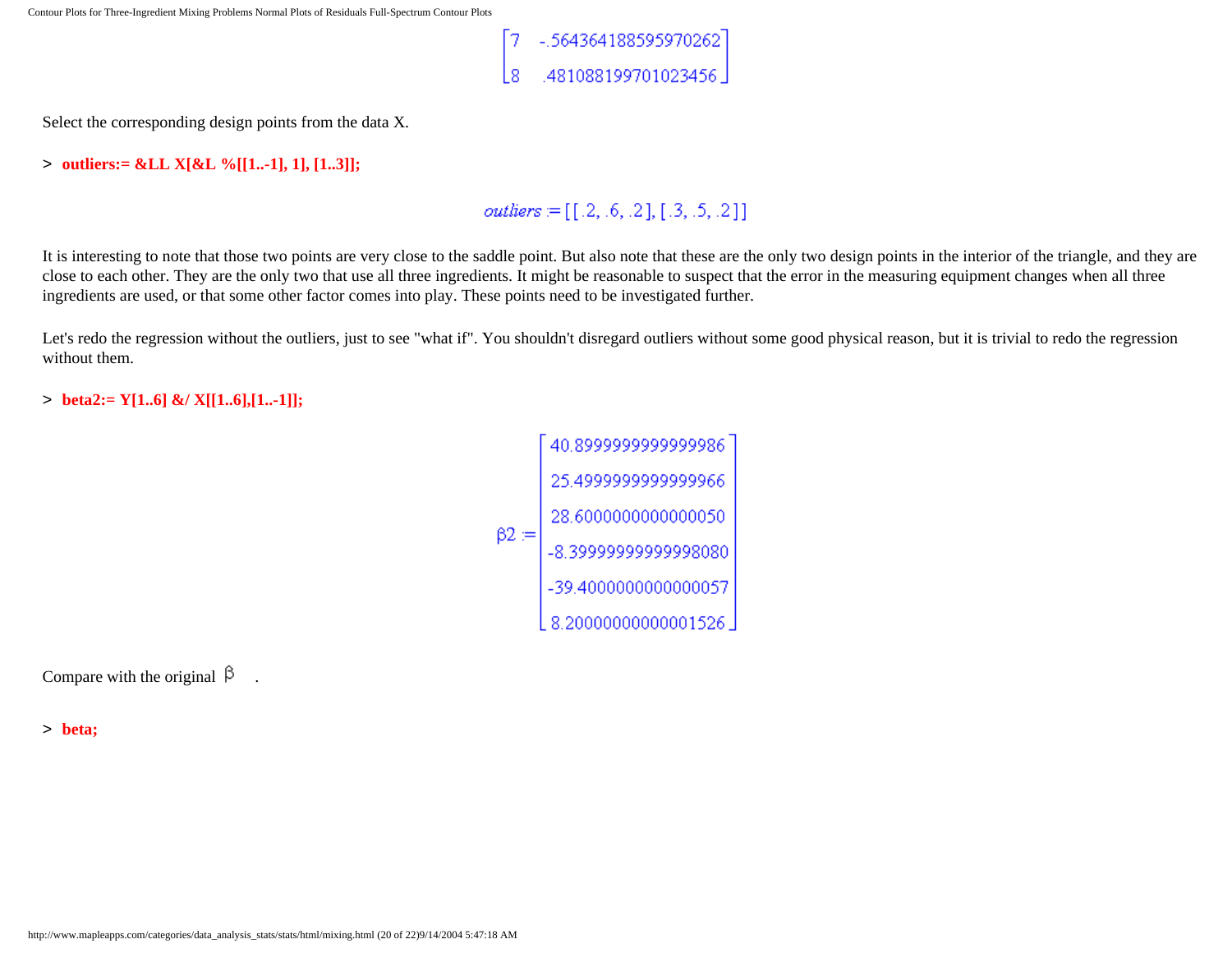

Select the corresponding design points from the data X.

#### > **outliers:= &LL X[&L %[[1..-1], 1], [1..3]];**

# *outliers*  $:= [[.2, .6, .2], [.3, .5, .2]]$

It is interesting to note that those two points are very close to the saddle point. But also note that these are the only two design points in the interior of the triangle, and they are close to each other. They are the only two that use all three ingredients. It might be reasonable to suspect that the error in the measuring equipment changes when all three ingredients are used, or that some other factor comes into play. These points need to be investigated further.

Let's redo the regression without the outliers, just to see "what if". You shouldn't disregard outliers without some good physical reason, but it is trivial to redo the regression without them.

#### > **beta2:= Y[1..6] &/ X[[1..6],[1..-1]];**

| $\beta 2 =$ | 40.899999999999986   |  |
|-------------|----------------------|--|
|             | 25.499999999999966   |  |
|             | 28.600000000000050   |  |
|             | -8.3999999999998080  |  |
|             | -39.4000000000000057 |  |
|             | 8.2000000000001526   |  |

Compare with the original  $\beta$ .

> **beta;**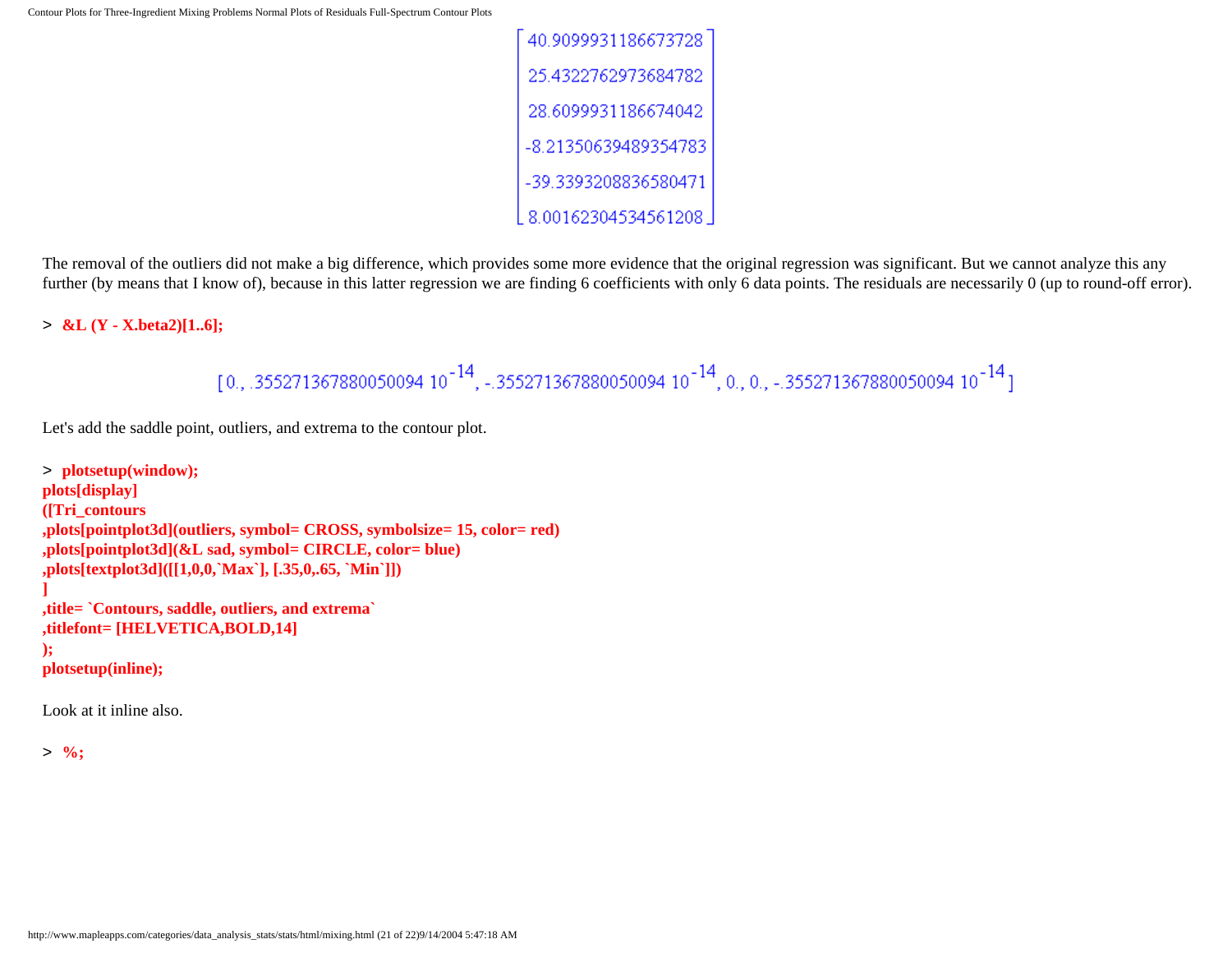| 40.9099931186673728  |
|----------------------|
| 25.4322762973684782  |
| 28.6099931186674042  |
| -8.21350639489354783 |
| -39.3393208836580471 |
| 8.00162304534561208  |

The removal of the outliers did not make a big difference, which provides some more evidence that the original regression was significant. But we cannot analyze this any further (by means that I know of), because in this latter regression we are finding 6 coefficients with only 6 data points. The residuals are necessarily 0 (up to round-off error).

> **&L (Y - X.beta2)[1..6];**

```
[0., .355271367880050094 10^{-14}, -.355271367880050094 10^{-14}, 0., 0., -.355271367880050094 10^{-14}]
```
Let's add the saddle point, outliers, and extrema to the contour plot.

```
> plotsetup(window);
plots[display]
([Tri_contours
,plots[pointplot3d](outliers, symbol= CROSS, symbolsize= 15, color= red)
,plots[pointplot3d](&L sad, symbol= CIRCLE, color= blue)
,plots[textplot3d]([[1,0,0,`Max`], [.35,0,.65, `Min`]])
]
,title= `Contours, saddle, outliers, and extrema`
,titlefont= [HELVETICA,BOLD,14]
);
plotsetup(inline);
```
Look at it inline also.

> **%;**